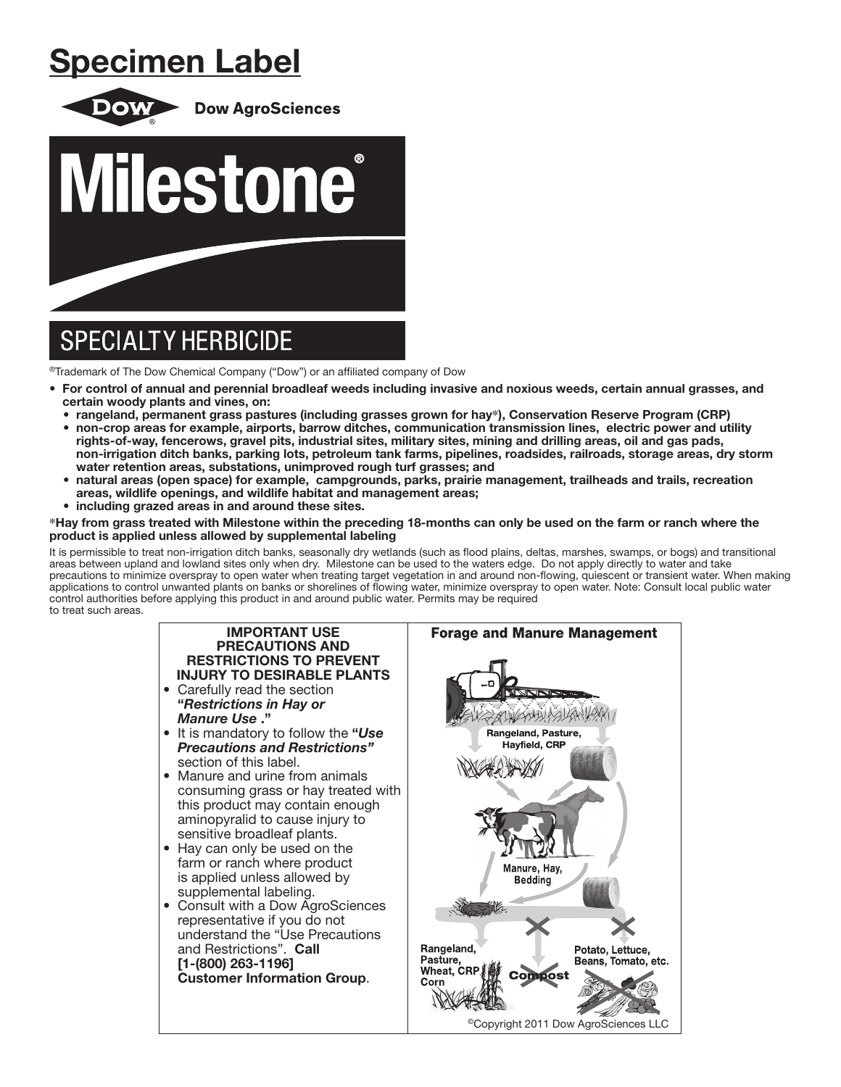# Specimen Label



® Trademark of The Dow Chemical Company ("Dow") or an affiliated company of Dow

- For control of annual and perennial broadleaf weeds including invasive and noxious weeds, certain annual grasses, and certain woody plants and vines, on:
	- rangeland, permanent grass pastures (including grasses grown for hay**\***), Conservation Reserve Program (CRP)
	- non-crop areas for example, airports, barrow ditches, communication transmission lines, electric power and utility rights-of-way, fencerows, gravel pits, industrial sites, military sites, mining and drilling areas, oil and gas pads, non-irrigation ditch banks, parking lots, petroleum tank farms, pipelines, roadsides, railroads, storage areas, dry storm water retention areas, substations, unimproved rough turf grasses; and
	- natural areas (open space) for example, campgrounds, parks, prairie management, trailheads and trails, recreation areas, wildlife openings, and wildlife habitat and management areas;
	- including grazed areas in and around these sites.

### **\***Hay from grass treated with Milestone within the preceding 18-months can only be used on the farm or ranch where the product is applied unless allowed by supplemental labeling

It is permissible to treat non-irrigation ditch banks, seasonally dry wetlands (such as flood plains, deltas, marshes, swamps, or bogs) and transitional areas between upland and lowland sites only when dry. Milestone can be used to the waters edge. Do not apply directly to water and take precautions to minimize overspray to open water when treating target vegetation in and around non-flowing, quiescent or transient water. When making applications to control unwanted plants on banks or shorelines of flowing water, minimize overspray to open water. Note: Consult local public water control authorities before applying this product in and around public water. Permits may be required to treat such areas.

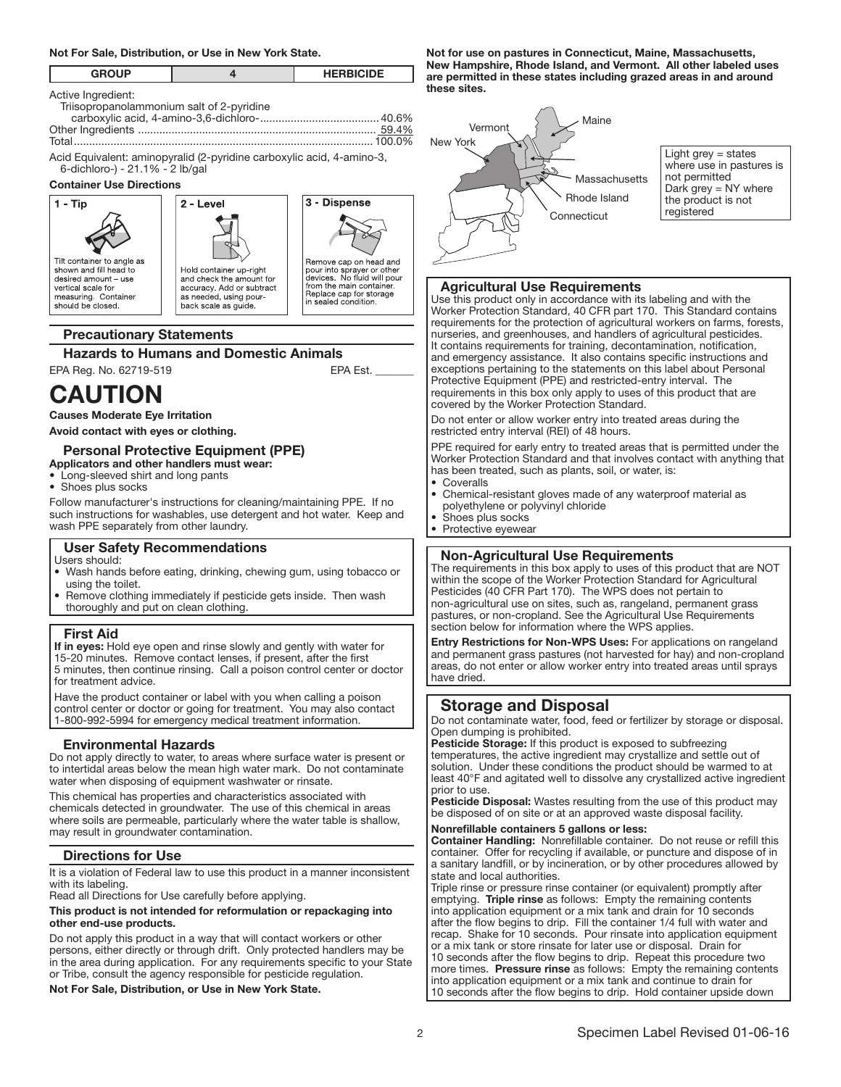# Not For Sale, Distribution, or Use in New York State.

| <b>GROUP</b>               |   |   | <b>HERBICIDE</b> |  |
|----------------------------|---|---|------------------|--|
| Active Ingredient:<br>$ -$ | . | . |                  |  |

| Triisopropanolammonium salt of 2-pyridine |  |
|-------------------------------------------|--|
|                                           |  |
|                                           |  |
|                                           |  |
|                                           |  |

Acid Equivalent: aminopyralid (2-pyridine carboxylic acid, 4-amino-3, 6-dichloro-) - 21.1% - 2 lb/gal

#### Container Use Directions

3 - Dispense  $1 - Tip$ 2 - Level Tilt container to angle as Remove cap on head and Four into sprayer or other<br>devices. No fluid will pour<br>from the main container.<br>Replace cap for storage shown and fill head to Hold container up-right desired amount - use and check the amount for vertical scale for accuracy. Add or subtract measuring. Container<br>should be closed. as needed, using pourin sealed condition. back scale as quide L

# Precautionary Statements

# **Hazards to Humans and Domestic Animals**<br>A Reg. No. 62719-519<br>EPA Est.

EPA Reg. No. 62719-519

# **CAUTION**

Causes Moderate Eye Irritation

Avoid contact with eyes or clothing.

#### Personal Protective Equipment (PPE) Applicators and other handlers must wear:

- Long-sleeved shirt and long pants
- Shoes plus socks

Follow manufacturer's instructions for cleaning/maintaining PPE. If no such instructions for washables, use detergent and hot water. Keep and wash PPE separately from other laundry.

# User Safety Recommendations

Users should:

- Wash hands before eating, drinking, chewing gum, using tobacco or using the toilet.
- Remove clothing immediately if pesticide gets inside. Then wash thoroughly and put on clean clothing.

#### First Aid

ļ

If in eyes: Hold eye open and rinse slowly and gently with water for 15-20 minutes. Remove contact lenses, if present, after the first 5 minutes, then continue rinsing. Call a poison control center or doctor for treatment advice.

Have the product container or label with you when calling a poison control center or doctor or going for treatment. You may also contact 1-800-992-5994 for emergency medical treatment information.

# Environmental Hazards

Do not apply directly to water, to areas where surface water is present or to intertidal areas below the mean high water mark. Do not contaminate water when disposing of equipment washwater or rinsate.

This chemical has properties and characteristics associated with chemicals detected in groundwater. The use of this chemical in areas where soils are permeable, particularly where the water table is shallow, may result in groundwater contamination.

# Directions for Use

It is a violation of Federal law to use this product in a manner inconsistent with its labeling.

Read all Directions for Use carefully before applying.

## This product is not intended for reformulation or repackaging into other end-use products.

Do not apply this product in a way that will contact workers or other persons, either directly or through drift. Only protected handlers may be in the area during application. For any requirements specific to your State or Tribe, consult the agency responsible for pesticide regulation.

Not For Sale, Distribution, or Use in New York State.

Not for use on pastures in Connecticut, Maine, Massachusetts, New Hampshire, Rhode Island, and Vermont. All other labeled uses are permitted in these states including grazed areas in and around these sites.



Light grey = states where use in pastures is not permitted Dark grey = NY where the product is not registered

## Agricultural Use Requirements

Use this product only in accordance with its labeling and with the Worker Protection Standard, 40 CFR part 170. This Standard contains requirements for the protection of agricultural workers on farms, forests, nurseries, and greenhouses, and handlers of agricultural pesticides. It contains requirements for training, decontamination, notification, and emergency assistance. It also contains specific instructions and exceptions pertaining to the statements on this label about Personal Protective Equipment (PPE) and restricted-entry interval. The requirements in this box only apply to uses of this product that are covered by the Worker Protection Standard.

Do not enter or allow worker entry into treated areas during the restricted entry interval (REI) of 48 hours.

PPE required for early entry to treated areas that is permitted under the Worker Protection Standard and that involves contact with anything that has been treated, such as plants, soil, or water, is: **Coveralls** 

Ļ

- Chemical-resistant gloves made of any waterproof material as polyethylene or polyvinyl chloride
- Shoes plus socks
- Protective eyewear

# Non-Agricultural Use Requirements

The requirements in this box apply to uses of this product that are NOT within the scope of the Worker Protection Standard for Agricultural Pesticides (40 CFR Part 170). The WPS does not pertain to non-agricultural use on sites, such as, rangeland, permanent grass pastures, or non-cropland. See the Agricultural Use Requirements section below for information where the WPS applies.

Entry Restrictions for Non-WPS Uses: For applications on rangeland and permanent grass pastures (not harvested for hay) and non-cropland areas, do not enter or allow worker entry into treated areas until sprays have dried.

# Storage and Disposal

Do not contaminate water, food, feed or fertilizer by storage or disposal. Open dumping is prohibited.

Pesticide Storage: If this product is exposed to subfreezing temperatures, the active ingredient may crystallize and settle out of solution. Under these conditions the product should be warmed to at least 40°F and agitated well to dissolve any crystallized active ingredient prior to use.

Pesticide Disposal: Wastes resulting from the use of this product may be disposed of on site or at an approved waste disposal facility.

#### Nonrefillable containers 5 gallons or less:

Container Handling: Nonrefillable container. Do not reuse or refill this container. Offer for recycling if available, or puncture and dispose of in a sanitary landfill, or by incineration, or by other procedures allowed by state and local authorities.

Triple rinse or pressure rinse container (or equivalent) promptly after emptying. Triple rinse as follows: Empty the remaining contents into application equipment or a mix tank and drain for 10 seconds after the flow begins to drip. Fill the container 1/4 full with water and recap. Shake for 10 seconds. Pour rinsate into application equipment or a mix tank or store rinsate for later use or disposal. Drain for 10 seconds after the flow begins to drip. Repeat this procedure two more times. Pressure rinse as follows: Empty the remaining contents into application equipment or a mix tank and continue to drain for 10 seconds after the flow begins to drip. Hold container upside down

j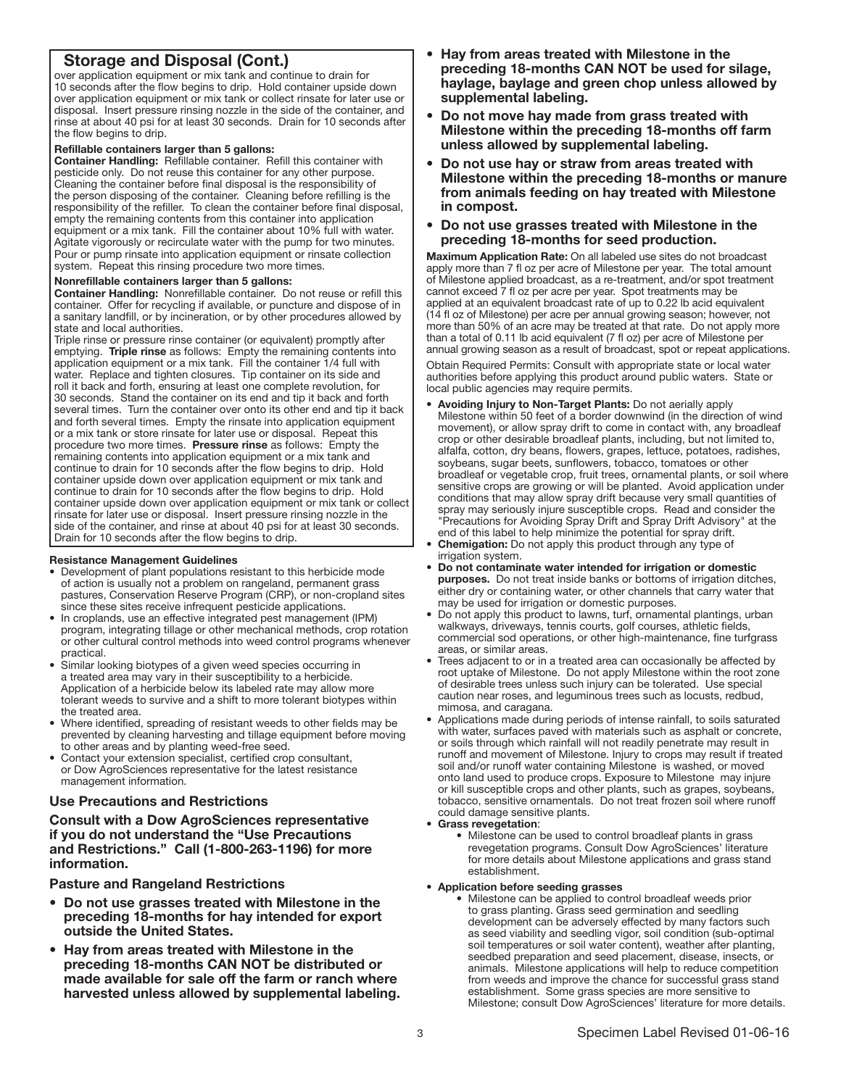# Storage and Disposal (Cont.)

over application equipment or mix tank and continue to drain for 10 seconds after the flow begins to drip. Hold container upside down over application equipment or mix tank or collect rinsate for later use or disposal. Insert pressure rinsing nozzle in the side of the container, and rinse at about 40 psi for at least 30 seconds. Drain for 10 seconds after the flow begins to drip.

#### Refillable containers larger than 5 gallons:

Container Handling: Refillable container. Refill this container with pesticide only. Do not reuse this container for any other purpose. Cleaning the container before final disposal is the responsibility of the person disposing of the container. Cleaning before refilling is the responsibility of the refiller. To clean the container before final disposal, empty the remaining contents from this container into application equipment or a mix tank. Fill the container about 10% full with water. Agitate vigorously or recirculate water with the pump for two minutes. Pour or pump rinsate into application equipment or rinsate collection system. Repeat this rinsing procedure two more times.

#### Nonrefillable containers larger than 5 gallons:

Container Handling: Nonrefillable container. Do not reuse or refill this container. Offer for recycling if available, or puncture and dispose of in a sanitary landfill, or by incineration, or by other procedures allowed by state and local authorities.

Triple rinse or pressure rinse container (or equivalent) promptly after emptying. Triple rinse as follows: Empty the remaining contents into application equipment or a mix tank. Fill the container 1/4 full with water. Replace and tighten closures. Tip container on its side and roll it back and forth, ensuring at least one complete revolution, for 30 seconds. Stand the container on its end and tip it back and forth several times. Turn the container over onto its other end and tip it back and forth several times. Empty the rinsate into application equipment or a mix tank or store rinsate for later use or disposal. Repeat this procedure two more times. Pressure rinse as follows: Empty the remaining contents into application equipment or a mix tank and continue to drain for 10 seconds after the flow begins to drip. Hold container upside down over application equipment or mix tank and continue to drain for 10 seconds after the flow begins to drip. Hold container upside down over application equipment or mix tank or collect rinsate for later use or disposal. Insert pressure rinsing nozzle in the side of the container, and rinse at about 40 psi for at least 30 seconds. Drain for 10 seconds after the flow begins to drip. j

#### Resistance Management Guidelines

- Development of plant populations resistant to this herbicide mode of action is usually not a problem on rangeland, permanent grass pastures, Conservation Reserve Program (CRP), or non-cropland sites since these sites receive infrequent pesticide applications.
- In croplands, use an effective integrated pest management (IPM) program, integrating tillage or other mechanical methods, crop rotation or other cultural control methods into weed control programs whenever practical.
- Similar looking biotypes of a given weed species occurring in a treated area may vary in their susceptibility to a herbicide. Application of a herbicide below its labeled rate may allow more tolerant weeds to survive and a shift to more tolerant biotypes within the treated area.
- Where identified, spreading of resistant weeds to other fields may be prevented by cleaning harvesting and tillage equipment before moving to other areas and by planting weed-free seed.
- Contact your extension specialist, certified crop consultant, or Dow AgroSciences representative for the latest resistance management information.

# Use Precautions and Restrictions

Consult with a Dow AgroSciences representative if you do not understand the "Use Precautions and Restrictions." Call (1-800-263-1196) for more information.

Pasture and Rangeland Restrictions

- Do not use grasses treated with Milestone in the preceding 18-months for hay intended for export outside the United States.
- Hay from areas treated with Milestone in the preceding 18-months CAN NOT be distributed or made available for sale off the farm or ranch where harvested unless allowed by supplemental labeling.
- Hay from areas treated with Milestone in the preceding 18-months CAN NOT be used for silage, haylage, baylage and green chop unless allowed by supplemental labeling.
- Do not move hay made from grass treated with Milestone within the preceding 18-months off farm unless allowed by supplemental labeling.
- Do not use hay or straw from areas treated with Milestone within the preceding 18-months or manure from animals feeding on hay treated with Milestone in compost.
- Do not use grasses treated with Milestone in the preceding 18-months for seed production.

Maximum Application Rate: On all labeled use sites do not broadcast apply more than 7 fl oz per acre of Milestone per year. The total amount of Milestone applied broadcast, as a re-treatment, and/or spot treatment cannot exceed 7 fl oz per acre per year. Spot treatments may be applied at an equivalent broadcast rate of up to 0.22 lb acid equivalent (14 fl oz of Milestone) per acre per annual growing season; however, not more than 50% of an acre may be treated at that rate. Do not apply more than a total of 0.11 lb acid equivalent (7 fl oz) per acre of Milestone per annual growing season as a result of broadcast, spot or repeat applications.

Obtain Required Permits: Consult with appropriate state or local water authorities before applying this product around public waters. State or local public agencies may require permits.

- Avoiding Injury to Non-Target Plants: Do not aerially apply Milestone within 50 feet of a border downwind (in the direction of wind movement), or allow spray drift to come in contact with, any broadleaf crop or other desirable broadleaf plants, including, but not limited to, alfalfa, cotton, dry beans, flowers, grapes, lettuce, potatoes, radishes, soybeans, sugar beets, sunflowers, tobacco, tomatoes or other broadleaf or vegetable crop, fruit trees, ornamental plants, or soil where sensitive crops are growing or will be planted. Avoid application under conditions that may allow spray drift because very small quantities of spray may seriously injure susceptible crops. Read and consider the "Precautions for Avoiding Spray Drift and Spray Drift Advisory" at the end of this label to help minimize the potential for spray drift.
- Chemigation: Do not apply this product through any type of irrigation system.
- Do not contaminate water intended for irrigation or domestic purposes. Do not treat inside banks or bottoms of irrigation ditches, either dry or containing water, or other channels that carry water that may be used for irrigation or domestic purposes.
- Do not apply this product to lawns, turf, ornamental plantings, urban walkways, driveways, tennis courts, golf courses, athletic fields, commercial sod operations, or other high-maintenance, fine turfgrass areas, or similar areas.
- Trees adjacent to or in a treated area can occasionally be affected by root uptake of Milestone. Do not apply Milestone within the root zone of desirable trees unless such injury can be tolerated. Use special caution near roses, and leguminous trees such as locusts, redbud, mimosa, and caragana.
- Applications made during periods of intense rainfall, to soils saturated with water, surfaces paved with materials such as asphalt or concrete, or soils through which rainfall will not readily penetrate may result in runoff and movement of Milestone. Injury to crops may result if treated soil and/or runoff water containing Milestone is washed, or moved onto land used to produce crops. Exposure to Milestone may injure or kill susceptible crops and other plants, such as grapes, soybeans, tobacco, sensitive ornamentals. Do not treat frozen soil where runoff could damage sensitive plants.

#### • Grass revegetation:

• Milestone can be used to control broadleaf plants in grass revegetation programs. Consult Dow AgroSciences' literature for more details about Milestone applications and grass stand establishment.

#### • Application before seeding grasses

• Milestone can be applied to control broadleaf weeds prior to grass planting. Grass seed germination and seedling development can be adversely effected by many factors such as seed viability and seedling vigor, soil condition (sub-optimal soil temperatures or soil water content), weather after planting, seedbed preparation and seed placement, disease, insects, or animals. Milestone applications will help to reduce competition from weeds and improve the chance for successful grass stand establishment. Some grass species are more sensitive to Milestone; consult Dow AgroSciences' literature for more details.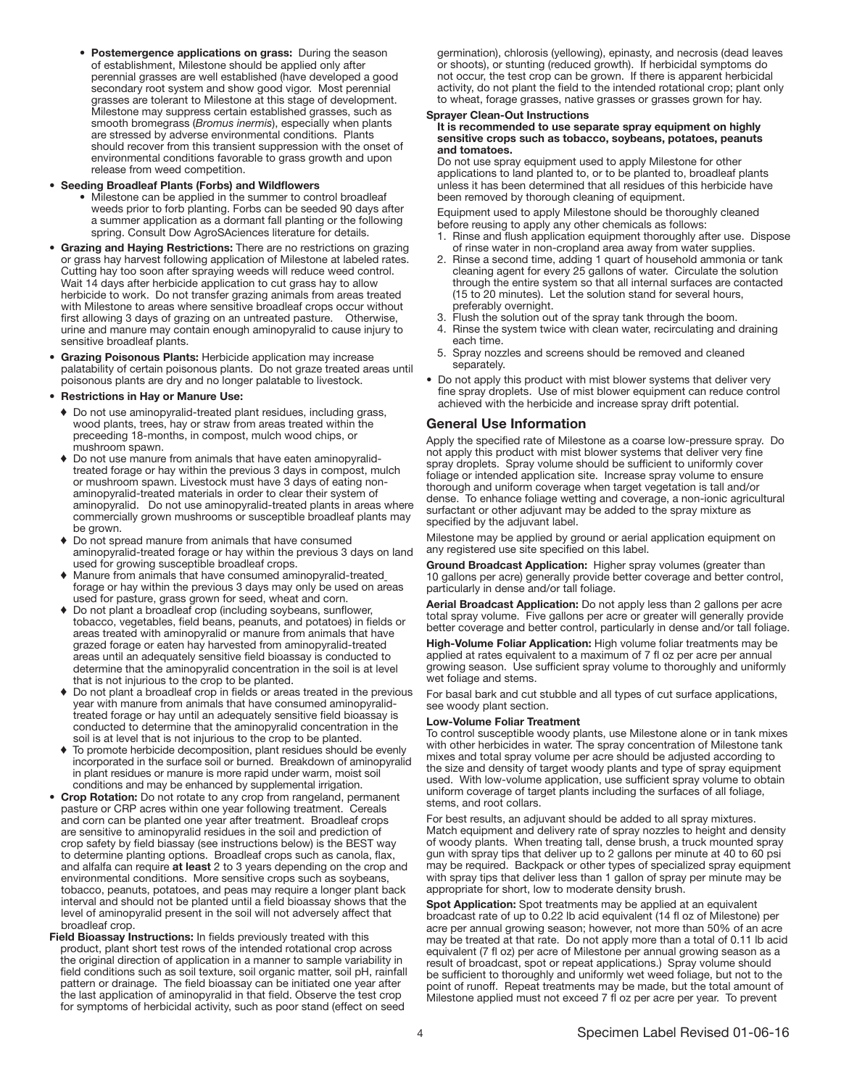• Postemergence applications on grass: During the season of establishment, Milestone should be applied only after perennial grasses are well established (have developed a good secondary root system and show good vigor. Most perennial grasses are tolerant to Milestone at this stage of development. Milestone may suppress certain established grasses, such as smooth bromegrass (*Bromus inermis*), especially when plants are stressed by adverse environmental conditions. Plants should recover from this transient suppression with the onset of environmental conditions favorable to grass growth and upon release from weed competition.

#### • Seeding Broadleaf Plants (Forbs) and Wildflowers

- Milestone can be applied in the summer to control broadleaf weeds prior to forb planting. Forbs can be seeded 90 days after a summer application as a dormant fall planting or the following spring. Consult Dow AgroSAciences literature for details.
- Grazing and Haying Restrictions: There are no restrictions on grazing or grass hay harvest following application of Milestone at labeled rates. Cutting hay too soon after spraying weeds will reduce weed control. Wait 14 days after herbicide application to cut grass hay to allow herbicide to work. Do not transfer grazing animals from areas treated with Milestone to areas where sensitive broadleaf crops occur without first allowing 3 days of grazing on an untreated pasture. Otherwise, urine and manure may contain enough aminopyralid to cause injury to sensitive broadleaf plants.
- Grazing Poisonous Plants: Herbicide application may increase palatability of certain poisonous plants. Do not graze treated areas until poisonous plants are dry and no longer palatable to livestock.

#### • Restrictions in Hay or Manure Use:

- ♦ Do not use aminopyralid-treated plant residues, including grass, wood plants, trees, hay or straw from areas treated within the preceeding 18-months, in compost, mulch wood chips, or mushroom spawn.
- ♦ Do not use manure from animals that have eaten aminopyralidtreated forage or hay within the previous 3 days in compost, mulch or mushroom spawn. Livestock must have 3 days of eating nonaminopyralid-treated materials in order to clear their system of aminopyralid. Do not use aminopyralid-treated plants in areas where commercially grown mushrooms or susceptible broadleaf plants may be grown.
- ♦ Do not spread manure from animals that have consumed aminopyralid-treated forage or hay within the previous 3 days on land used for growing susceptible broadleaf crops.
- ♦ Manure from animals that have consumed aminopyralid-treated forage or hay within the previous 3 days may only be used on areas used for pasture, grass grown for seed, wheat and corn.
- ♦ Do not plant a broadleaf crop (including soybeans, sunflower, tobacco, vegetables, field beans, peanuts, and potatoes) in fields or areas treated with aminopyralid or manure from animals that have grazed forage or eaten hay harvested from aminopyralid-treated areas until an adequately sensitive field bioassay is conducted to determine that the aminopyralid concentration in the soil is at level that is not injurious to the crop to be planted.
- ♦ Do not plant a broadleaf crop in fields or areas treated in the previous year with manure from animals that have consumed aminopyralidtreated forage or hay until an adequately sensitive field bioassay is conducted to determine that the aminopyralid concentration in the soil is at level that is not injurious to the crop to be planted.
- ♦ To promote herbicide decomposition, plant residues should be evenly incorporated in the surface soil or burned. Breakdown of aminopyralid in plant residues or manure is more rapid under warm, moist soil conditions and may be enhanced by supplemental irrigation.
- Crop Rotation: Do not rotate to any crop from rangeland, permanent pasture or CRP acres within one year following treatment. Cereals and corn can be planted one year after treatment. Broadleaf crops are sensitive to aminopyralid residues in the soil and prediction of crop safety by field biassay (see instructions below) is the BEST way to determine planting options. Broadleaf crops such as canola, flax, and alfalfa can require at least 2 to 3 years depending on the crop and environmental conditions. More sensitive crops such as soybeans, tobacco, peanuts, potatoes, and peas may require a longer plant back interval and should not be planted until a field bioassay shows that the level of aminopyralid present in the soil will not adversely affect that broadleaf crop.
- Field Bioassay Instructions: In fields previously treated with this product, plant short test rows of the intended rotational crop across the original direction of application in a manner to sample variability in field conditions such as soil texture, soil organic matter, soil pH, rainfall pattern or drainage. The field bioassay can be initiated one year after the last application of aminopyralid in that field. Observe the test crop for symptoms of herbicidal activity, such as poor stand (effect on seed

germination), chlorosis (yellowing), epinasty, and necrosis (dead leaves or shoots), or stunting (reduced growth). If herbicidal symptoms do not occur, the test crop can be grown. If there is apparent herbicidal activity, do not plant the field to the intended rotational crop; plant only to wheat, forage grasses, native grasses or grasses grown for hay.

#### Sprayer Clean-Out Instructions

#### It is recommended to use separate spray equipment on highly sensitive crops such as tobacco, soybeans, potatoes, peanuts and tomatoes.

Do not use spray equipment used to apply Milestone for other applications to land planted to, or to be planted to, broadleaf plants unless it has been determined that all residues of this herbicide have been removed by thorough cleaning of equipment.

Equipment used to apply Milestone should be thoroughly cleaned before reusing to apply any other chemicals as follows:

- 1. Rinse and flush application equipment thoroughly after use. Dispose of rinse water in non-cropland area away from water supplies.
- 2. Rinse a second time, adding 1 quart of household ammonia or tank cleaning agent for every 25 gallons of water. Circulate the solution through the entire system so that all internal surfaces are contacted (15 to 20 minutes). Let the solution stand for several hours, preferably overnight.
- 3. Flush the solution out of the spray tank through the boom.
- 4. Rinse the system twice with clean water, recirculating and draining each time.
- 5. Spray nozzles and screens should be removed and cleaned separately.
- Do not apply this product with mist blower systems that deliver very fine spray droplets. Use of mist blower equipment can reduce control achieved with the herbicide and increase spray drift potential.

## General Use Information

Apply the specified rate of Milestone as a coarse low-pressure spray. Do not apply this product with mist blower systems that deliver very fine spray droplets. Spray volume should be sufficient to uniformly cover foliage or intended application site. Increase spray volume to ensure thorough and uniform coverage when target vegetation is tall and/or dense. To enhance foliage wetting and coverage, a non-ionic agricultural surfactant or other adjuvant may be added to the spray mixture as specified by the adjuvant label.

Milestone may be applied by ground or aerial application equipment on any registered use site specified on this label.

Ground Broadcast Application: Higher spray volumes (greater than 10 gallons per acre) generally provide better coverage and better control, particularly in dense and/or tall foliage.

Aerial Broadcast Application: Do not apply less than 2 gallons per acre total spray volume. Five gallons per acre or greater will generally provide better coverage and better control, particularly in dense and/or tall foliage.

High-Volume Foliar Application: High volume foliar treatments may be applied at rates equivalent to a maximum of 7 fl oz per acre per annual growing season. Use sufficient spray volume to thoroughly and uniformly wet foliage and stems.

For basal bark and cut stubble and all types of cut surface applications, see woody plant section.

#### Low-Volume Foliar Treatment

To control susceptible woody plants, use Milestone alone or in tank mixes with other herbicides in water. The spray concentration of Milestone tank mixes and total spray volume per acre should be adjusted according to the size and density of target woody plants and type of spray equipment used. With low-volume application, use sufficient spray volume to obtain uniform coverage of target plants including the surfaces of all foliage, stems, and root collars.

For best results, an adjuvant should be added to all spray mixtures. Match equipment and delivery rate of spray nozzles to height and density of woody plants. When treating tall, dense brush, a truck mounted spray gun with spray tips that deliver up to 2 gallons per minute at 40 to 60 psi may be required. Backpack or other types of specialized spray equipment with spray tips that deliver less than 1 gallon of spray per minute may be appropriate for short, low to moderate density brush.

Spot Application: Spot treatments may be applied at an equivalent broadcast rate of up to 0.22 lb acid equivalent (14 fl oz of Milestone) per acre per annual growing season; however, not more than 50% of an acre may be treated at that rate. Do not apply more than a total of 0.11 lb acid equivalent (7 fl oz) per acre of Milestone per annual growing season as a result of broadcast, spot or repeat applications.) Spray volume should be sufficient to thoroughly and uniformly wet weed foliage, but not to the point of runoff. Repeat treatments may be made, but the total amount of Milestone applied must not exceed 7 fl oz per acre per year. To prevent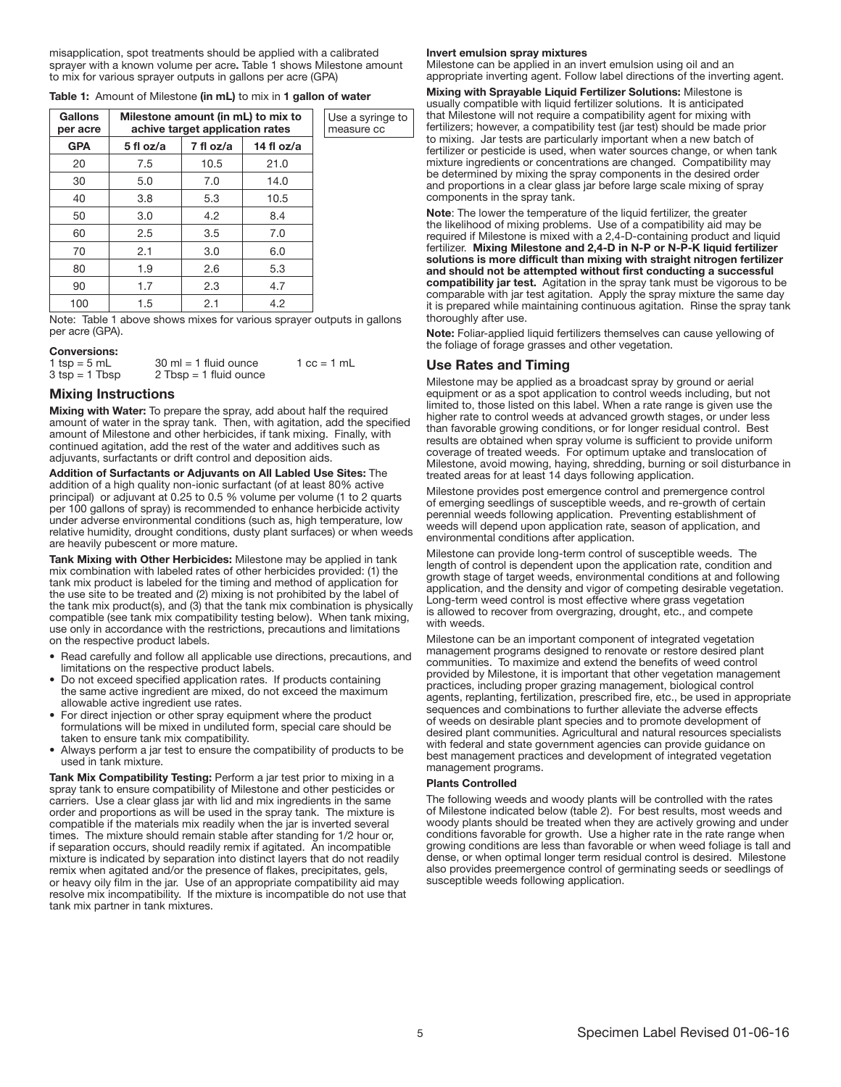misapplication, spot treatments should be applied with a calibrated sprayer with a known volume per acre. Table 1 shows Milestone amount to mix for various sprayer outputs in gallons per acre (GPA)

| <b>Table 1:</b> Amount of Milestone (in mL) to mix in 1 gallon of water |  |
|-------------------------------------------------------------------------|--|
|-------------------------------------------------------------------------|--|

| <b>Gallons</b><br>per acre | Milestone amount (in mL) to mix to<br>achive target application rates | Use a syringe to<br>measure cc |            |  |
|----------------------------|-----------------------------------------------------------------------|--------------------------------|------------|--|
| <b>GPA</b>                 | 5 fl oz/a                                                             | 7 fl oz/a                      | 14 fl oz/a |  |
| 20                         | 7.5                                                                   | 10.5                           | 21.0       |  |
| 30                         | 5.0                                                                   | 7.0                            | 14.0       |  |
| 40                         | 3.8                                                                   | 5.3                            | 10.5       |  |
| 50                         | 3.0                                                                   | 4.2                            | 8.4        |  |
| 60                         | 2.5                                                                   | 3.5                            | 7.0        |  |
| 70                         | 2.1                                                                   | 3.0                            | 6.0        |  |
| 80                         | 1.9                                                                   | 2.6                            | 5.3        |  |
| 90                         | 1.7                                                                   | 2.3                            | 4.7        |  |
| 100                        | 1.5                                                                   | 2.1                            | 4.2        |  |

Note: Table 1 above shows mixes for various sprayer outputs in gallons per acre (GPA).

#### Conversions:

| 1 tsp = $5$ mL                   | $30 \text{ ml} = 1 \text{ fluid ounce}$ | $1 \text{ cc} = 1 \text{ mL}$ |
|----------------------------------|-----------------------------------------|-------------------------------|
| $3 \text{ tsp} = 1 \text{ Tbsp}$ | $2$ Tbsp = 1 fluid ounce                |                               |

## Mixing Instructions

Mixing with Water: To prepare the spray, add about half the required amount of water in the spray tank. Then, with agitation, add the specified amount of Milestone and other herbicides, if tank mixing. Finally, with continued agitation, add the rest of the water and additives such as adjuvants, surfactants or drift control and deposition aids.

Addition of Surfactants or Adjuvants on All Labled Use Sites: The addition of a high quality non-ionic surfactant (of at least 80% active principal) or adjuvant at 0.25 to 0.5 % volume per volume (1 to 2 quarts per 100 gallons of spray) is recommended to enhance herbicide activity under adverse environmental conditions (such as, high temperature, low relative humidity, drought conditions, dusty plant surfaces) or when weeds are heavily pubescent or more mature.

Tank Mixing with Other Herbicides: Milestone may be applied in tank mix combination with labeled rates of other herbicides provided: (1) the tank mix product is labeled for the timing and method of application for the use site to be treated and (2) mixing is not prohibited by the label of the tank mix product(s), and (3) that the tank mix combination is physically compatible (see tank mix compatibility testing below). When tank mixing, use only in accordance with the restrictions, precautions and limitations on the respective product labels.

- Read carefully and follow all applicable use directions, precautions, and limitations on the respective product labels.
- Do not exceed specified application rates. If products containing the same active ingredient are mixed, do not exceed the maximum allowable active ingredient use rates.
- For direct injection or other spray equipment where the product formulations will be mixed in undiluted form, special care should be taken to ensure tank mix compatibility.
- Always perform a jar test to ensure the compatibility of products to be used in tank mixture.

Tank Mix Compatibility Testing: Perform a jar test prior to mixing in a spray tank to ensure compatibility of Milestone and other pesticides or carriers. Use a clear glass jar with lid and mix ingredients in the same order and proportions as will be used in the spray tank. The mixture is compatible if the materials mix readily when the jar is inverted several times. The mixture should remain stable after standing for 1/2 hour or, if separation occurs, should readily remix if agitated. An incompatible mixture is indicated by separation into distinct layers that do not readily remix when agitated and/or the presence of flakes, precipitates, gels, or heavy oily film in the jar. Use of an appropriate compatibility aid may resolve mix incompatibility. If the mixture is incompatible do not use that tank mix partner in tank mixtures.

#### Invert emulsion spray mixtures

Milestone can be applied in an invert emulsion using oil and an appropriate inverting agent. Follow label directions of the inverting agent.

Mixing with Sprayable Liquid Fertilizer Solutions: Milestone is usually compatible with liquid fertilizer solutions. It is anticipated that Milestone will not require a compatibility agent for mixing with fertilizers; however, a compatibility test (jar test) should be made prior to mixing. Jar tests are particularly important when a new batch of fertilizer or pesticide is used, when water sources change, or when tank mixture ingredients or concentrations are changed. Compatibility may be determined by mixing the spray components in the desired order and proportions in a clear glass jar before large scale mixing of spray components in the spray tank.

Note: The lower the temperature of the liquid fertilizer, the greater the likelihood of mixing problems. Use of a compatibility aid may be required if Milestone is mixed with a 2,4-D-containing product and liquid fertilizer. Mixing Milestone and 2,4-D in N-P or N-P-K liquid fertilizer solutions is more difficult than mixing with straight nitrogen fertilizer and should not be attempted without first conducting a successful compatibility jar test. Agitation in the spray tank must be vigorous to be comparable with jar test agitation. Apply the spray mixture the same day it is prepared while maintaining continuous agitation. Rinse the spray tank thoroughly after use.

Note: Foliar-applied liquid fertilizers themselves can cause yellowing of the foliage of forage grasses and other vegetation.

# Use Rates and Timing

Milestone may be applied as a broadcast spray by ground or aerial equipment or as a spot application to control weeds including, but not limited to, those listed on this label. When a rate range is given use the higher rate to control weeds at advanced growth stages, or under less than favorable growing conditions, or for longer residual control. Best results are obtained when spray volume is sufficient to provide uniform coverage of treated weeds. For optimum uptake and translocation of Milestone, avoid mowing, haying, shredding, burning or soil disturbance in treated areas for at least 14 days following application.

Milestone provides post emergence control and premergence control of emerging seedlings of susceptible weeds, and re-growth of certain perennial weeds following application. Preventing establishment of weeds will depend upon application rate, season of application, and environmental conditions after application.

Milestone can provide long-term control of susceptible weeds. The length of control is dependent upon the application rate, condition and growth stage of target weeds, environmental conditions at and following application, and the density and vigor of competing desirable vegetation. Long-term weed control is most effective where grass vegetation is allowed to recover from overgrazing, drought, etc., and compete with weeds.

Milestone can be an important component of integrated vegetation management programs designed to renovate or restore desired plant communities. To maximize and extend the benefits of weed control provided by Milestone, it is important that other vegetation management practices, including proper grazing management, biological control agents, replanting, fertilization, prescribed fire, etc., be used in appropriate sequences and combinations to further alleviate the adverse effects of weeds on desirable plant species and to promote development of desired plant communities. Agricultural and natural resources specialists with federal and state government agencies can provide guidance on best management practices and development of integrated vegetation management programs.

#### Plants Controlled

The following weeds and woody plants will be controlled with the rates of Milestone indicated below (table 2). For best results, most weeds and woody plants should be treated when they are actively growing and under conditions favorable for growth. Use a higher rate in the rate range when growing conditions are less than favorable or when weed foliage is tall and dense, or when optimal longer term residual control is desired. Milestone also provides preemergence control of germinating seeds or seedlings of susceptible weeds following application.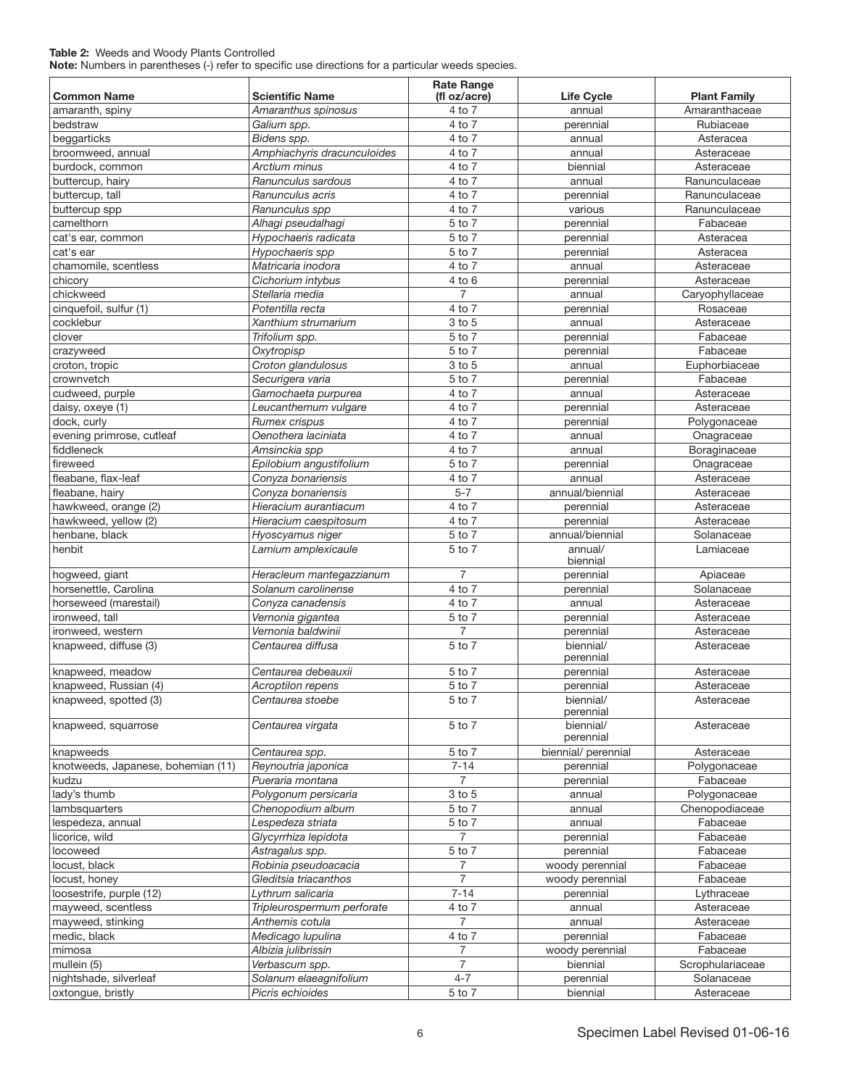# Table 2: Weeds and Woody Plants Controlled

Note: Numbers in parentheses (-) refer to specific use directions for a particular weeds species.

| Common Name                        | <b>Scientific Name</b>                 | <b>Rate Range</b><br>(fl oz/acre) | <b>Life Cycle</b>                | <b>Plant Family</b>        |
|------------------------------------|----------------------------------------|-----------------------------------|----------------------------------|----------------------------|
| amaranth, spiny                    | Amaranthus spinosus                    | 4 to 7                            | annual                           | Amaranthaceae              |
| bedstraw                           | Galium spp.                            | 4 to 7                            | perennial                        | Rubiaceae                  |
| beggarticks                        | Bidens spp.                            | 4 to 7                            | annual                           | Asteracea                  |
| broomweed, annual                  | Amphiachyris dracunculoides            | 4 to 7                            | annual                           | Asteraceae                 |
| burdock, common                    | Arctium minus                          | 4 to 7                            | biennial                         | Asteraceae                 |
| buttercup, hairy                   | Ranunculus sardous                     | 4 to 7                            | annual                           | Ranunculaceae              |
| buttercup, tall                    | Ranunculus acris                       | 4 to 7                            | perennial                        | Ranunculaceae              |
| buttercup spp                      | Ranunculus spp                         | 4 to 7                            | various                          | Ranunculaceae              |
| camelthorn                         | Alhagi pseudalhagi                     | 5 to 7                            | perennial                        | Fabaceae                   |
| cat's ear, common                  | Hypochaeris radicata                   | 5 to 7                            | perennial                        | Asteracea                  |
| cat's ear                          | Hypochaeris spp                        | 5 to 7                            | perennial                        | Asteracea                  |
| chamomile, scentless               | Matricaria inodora                     | 4 to 7                            | annual                           | Asteraceae                 |
| chicory                            | Cichorium intybus                      | $4$ to $6$                        | perennial                        | Asteraceae                 |
| chickweed                          | Stellaria media                        | $\overline{7}$                    | annual                           | Caryophyllaceae            |
| cinquefoil, sulfur (1)             | Potentilla recta                       | 4 to 7                            | perennial                        | Rosaceae                   |
| cocklebur                          | Xanthium strumarium                    | 3 to 5                            | annual                           | Asteraceae                 |
| clover                             | Trifolium spp.                         | 5 to 7                            | perennial                        | Fabaceae                   |
|                                    |                                        | 5 to 7                            |                                  | Fabaceae                   |
| crazyweed                          | Oxytropisp                             |                                   | perennial                        |                            |
| croton, tropic                     | Croton glandulosus                     | 3 to 5                            | annual                           | Euphorbiaceae              |
| crownvetch                         | Securigera varia                       | 5 to 7                            | perennial                        | Fabaceae                   |
| cudweed, purple                    | Gamochaeta purpurea                    | 4 to 7                            | annual                           | Asteraceae                 |
| daisy, oxeye (1)                   | Leucanthemum vulgare                   | 4 to 7                            | perennial                        | Asteraceae                 |
| dock, curly                        | Rumex crispus                          | 4 to 7                            | perennial                        | Polygonaceae               |
| evening primrose, cutleaf          | Oenothera laciniata                    | 4 to 7                            | annual                           | Onagraceae                 |
| fiddleneck                         | Amsinckia spp                          | 4 to 7                            | annual                           | Boraginaceae               |
| fireweed                           | Epilobium angustifolium                | 5 to 7                            | perennial                        | Onagraceae                 |
| fleabane, flax-leaf                | Conyza bonariensis                     | 4 to 7                            | annual                           | Asteraceae                 |
| fleabane, hairy                    | Conyza bonariensis                     | $5 - 7$                           | annual/biennial                  | Asteraceae                 |
| hawkweed, orange (2)               | Hieracium aurantiacum                  | 4 to 7                            | perennial                        | Asteraceae                 |
| hawkweed, yellow (2)               | Hieracium caespitosum                  | 4 to 7                            | perennial                        | Asteraceae                 |
| henbane, black                     | Hyoscyamus niger                       | 5 to 7                            | annual/biennial                  | Solanaceae                 |
| henbit                             | Lamium amplexicaule                    | 5 to 7                            | annual/<br>biennial              | Lamiaceae                  |
| hogweed, giant                     | Heracleum mantegazzianum               | $\overline{7}$                    | perennial                        | Apiaceae                   |
| horsenettle, Carolina              | Solanum carolinense                    | 4 to 7                            | perennial                        | Solanaceae                 |
| horseweed (marestail)              | Conyza canadensis                      | 4 to 7                            | annual                           | Asteraceae                 |
| ironweed, tall                     | Vernonia gigantea                      | 5 to 7                            | perennial                        | Asteraceae                 |
| ironweed, western                  | Vernonia baldwinii                     | 7                                 | perennial                        | Asteraceae                 |
| knapweed, diffuse (3)              | Centaurea diffusa                      | 5 to 7                            | biennial/<br>perennial           | Asteraceae                 |
| knapweed, meadow                   | Centaurea debeauxii                    | 5 to 7                            | perennial                        | Asteraceae                 |
| knapweed, Russian (4)              | <b>Acroptilon repens</b>               | 5 to 7                            | perennial                        | Asteraceae                 |
| knapweed, spotted (3)              | Centaurea stoebe                       | 5 to 7                            | biennial/                        | Asteraceae                 |
| knapweed, squarrose                | Centaurea virgata                      | 5 to 7                            | perennial<br>biennial/           | Asteraceae                 |
| knapweeds                          |                                        | 5 to 7                            | perennial<br>biennial/ perennial |                            |
| knotweeds, Japanese, bohemian (11) | Centaurea spp.<br>Reynoutria japonica  | $7 - 14$                          | perennial                        | Asteraceae<br>Polygonaceae |
|                                    |                                        | $\overline{7}$                    |                                  |                            |
| kudzu                              | Pueraria montana                       |                                   | perennial                        | Fabaceae                   |
| lady's thumb                       | Polygonum persicaria                   | 3 to 5<br>5 to 7                  | annual                           | Polygonaceae               |
| lambsquarters                      | Chenopodium album<br>Lespedeza striata |                                   | annual<br>annual                 | Chenopodiaceae<br>Fabaceae |
| lespedeza, annual                  |                                        | 5 to 7                            |                                  |                            |
| licorice, wild                     | Glycyrrhiza lepidota                   | 7                                 | perennial                        | Fabaceae                   |
| locoweed                           | Astragalus spp.                        | 5 to 7                            | perennial                        | Fabaceae                   |
| locust, black                      | Robinia pseudoacacia                   | 7                                 | woody perennial                  | Fabaceae                   |
| locust, honey                      | Gleditsia triacanthos                  | 7                                 | woody perennial                  | Fabaceae                   |
| loosestrife, purple (12)           | Lythrum salicaria                      | $7 - 14$                          | perennial                        | Lythraceae                 |
| mayweed, scentless                 | Tripleurospermum perforate             | 4 to 7                            | annual                           | Asteraceae                 |
| mayweed, stinking                  | Anthemis cotula                        | $\overline{7}$                    | annual                           | Asteraceae                 |
| medic, black                       | Medicago lupulina                      | 4 to 7                            | perennial                        | Fabaceae                   |
| mimosa                             | Albizia julibrissin                    | 7                                 | woody perennial                  | Fabaceae                   |
| mullein (5)                        | Verbascum spp.                         | $\overline{7}$                    | biennial                         | Scrophulariaceae           |
| nightshade, silverleaf             | Solanum elaeagnifolium                 | $4 - 7$                           | perennial                        | Solanaceae                 |
| oxtongue, bristly                  | Picris echioides                       | 5 to 7                            | biennial                         | Asteraceae                 |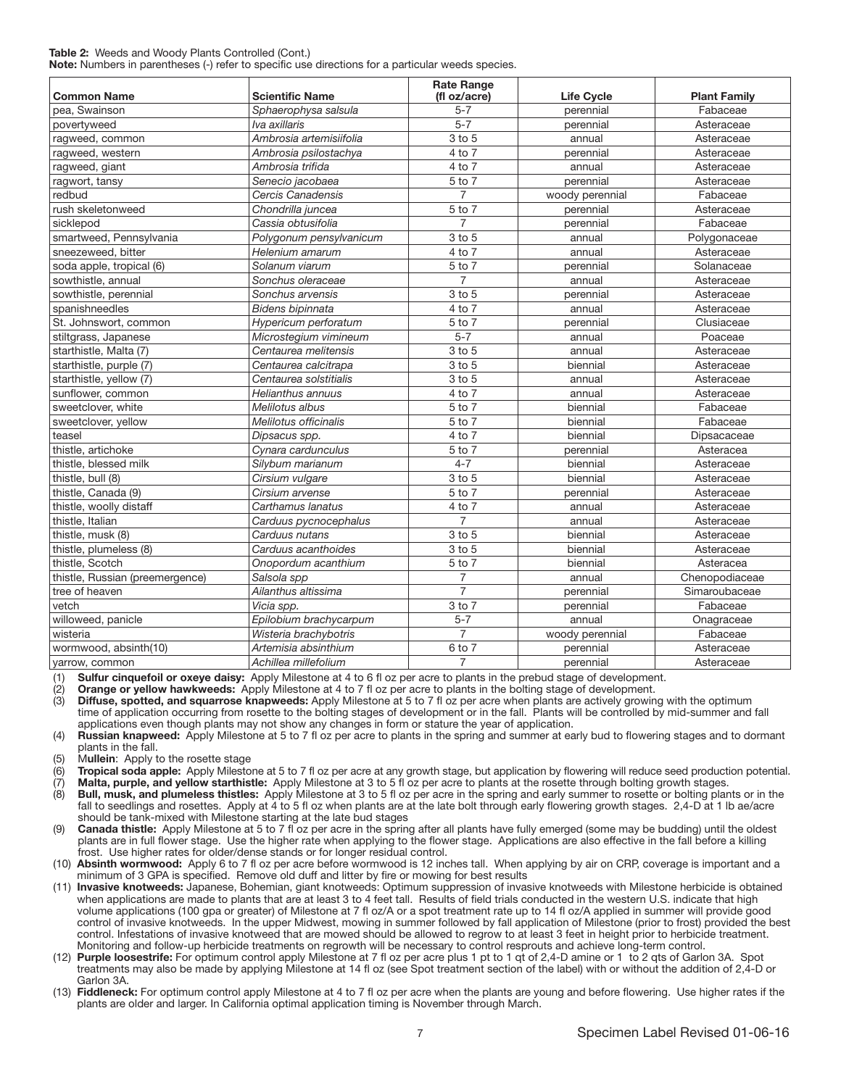### Table 2: Weeds and Woody Plants Controlled (Cont.)

Note: Numbers in parentheses (-) refer to specific use directions for a particular weeds species.

| <b>Common Name</b>              | <b>Scientific Name</b>  | <b>Rate Range</b><br>(fl oz/acre) | <b>Life Cycle</b> | <b>Plant Family</b> |  |
|---------------------------------|-------------------------|-----------------------------------|-------------------|---------------------|--|
| pea. Swainson                   | Sphaerophysa salsula    | $5 - 7$                           | perennial         | Fabaceae            |  |
| povertyweed                     | lva axillaris           | $5 - 7$                           | perennial         | Asteraceae          |  |
| ragweed, common                 | Ambrosia artemisiifolia | $3$ to $5$                        | annual            | Asteraceae          |  |
| ragweed, western                | Ambrosia psilostachya   | 4 to 7                            | perennial         | Asteraceae          |  |
| ragweed, giant                  | Ambrosia trifida        | 4 to 7                            | annual            | Asteraceae          |  |
| ragwort, tansy                  | Senecio jacobaea        | 5 to 7                            | perennial         | Asteraceae          |  |
| redbud                          | Cercis Canadensis       | $\overline{7}$                    | woody perennial   | Fabaceae            |  |
| rush skeletonweed               | Chondrilla juncea       | 5 to 7                            | perennial         | Asteraceae          |  |
| sicklepod                       | Cassia obtusifolia      | $\overline{7}$                    | perennial         | Fabaceae            |  |
| smartweed, Pennsylvania         | Polygonum pensylvanicum | 3 to 5                            | annual            | Polygonaceae        |  |
| sneezeweed, bitter              | Helenium amarum         | 4 to 7                            | annual            | Asteraceae          |  |
| soda apple, tropical (6)        | Solanum viarum          | 5 to 7                            | perennial         | Solanaceae          |  |
| sowthistle, annual              | Sonchus oleraceae       | $\overline{7}$                    | annual            | Asteraceae          |  |
| sowthistle, perennial           | Sonchus arvensis        | 3 to 5                            | perennial         | Asteraceae          |  |
| spanishneedles                  | Bidens bipinnata        | 4 to 7                            | annual            | Asteraceae          |  |
| St. Johnswort, common           | Hypericum perforatum    | 5 to 7                            | perennial         | Clusiaceae          |  |
| stiltgrass, Japanese            | Microstegium vimineum   | $5 - 7$                           | annual            | Poaceae             |  |
| starthistle, Malta (7)          | Centaurea melitensis    | 3 to 5                            | annual            | Asteraceae          |  |
| starthistle, purple (7)         | Centaurea calcitrapa    | 3 to 5<br>biennial                |                   | Asteraceae          |  |
| starthistle, yellow (7)         | Centaurea solstitialis  | 3 to 5                            | annual            | Asteraceae          |  |
| sunflower, common               | Helianthus annuus       | 4 to 7                            | annual            | Asteraceae          |  |
| sweetclover, white              | Melilotus albus         | 5 to 7                            | biennial          | Fabaceae            |  |
| sweetclover, yellow             | Melilotus officinalis   | 5 to 7                            | biennial          | Fabaceae            |  |
| teasel                          | Dipsacus spp.           | 4 to 7                            | biennial          | Dipsacaceae         |  |
| thistle, artichoke              | Cynara cardunculus      | 5 to 7                            | perennial         | Asteracea           |  |
| thistle, blessed milk           | Silybum marianum        | $4 - 7$                           | biennial          | Asteraceae          |  |
| thistle, bull $(8)$             | Cirsium vulgare         | 3 to 5                            | biennial          | Asteraceae          |  |
| thistle, Canada (9)             | Cirsium arvense         | 5 to 7                            | perennial         | Asteraceae          |  |
| thistle, woolly distaff         | Carthamus lanatus       | 4 to 7                            | annual            | Asteraceae          |  |
| thistle. Italian                | Carduus pycnocephalus   | $\overline{7}$                    | annual            | Asteraceae          |  |
| thistle, musk (8)               | Carduus nutans          | 3 to 5                            | biennial          | Asteraceae          |  |
| thistle, plumeless (8)          | Carduus acanthoides     | 3 to 5                            | biennial          | Asteraceae          |  |
| thistle, Scotch                 | Onopordum acanthium     | 5 to 7                            | biennial          | Asteracea           |  |
| thistle, Russian (preemergence) | Salsola spp             | $\overline{7}$                    | annual            | Chenopodiaceae      |  |
| tree of heaven                  | Ailanthus altissima     | $\overline{7}$                    | perennial         | Simaroubaceae       |  |
| vetch                           | Vicia spp.              | $3$ to $7$<br>perennial           |                   | Fabaceae            |  |
| willoweed, panicle              | Epilobium brachycarpum  | $5 - 7$                           | annual            | Onagraceae          |  |
| wisteria                        | Wisteria brachybotris   | $\overline{7}$                    | woody perennial   | Fabaceae            |  |
| wormwood, absinth(10)           | Artemisia absinthium    | 6 to 7                            | perennial         | Asteraceae          |  |
| yarrow, common                  | Achillea millefolium    | $\overline{7}$                    | perennial         | Asteraceae          |  |

(1) Sulfur cinquefoil or oxeye daisy: Apply Milestone at 4 to 6 fl oz per acre to plants in the prebud stage of development.<br>(2) Orange or yellow hawkweeds: Apply Milestone at 4 to 7 fl oz per acre to plants in the bolting Orange or yellow hawkweeds: Apply Milestone at 4 to 7 fl oz per acre to plants in the bolting stage of development.

(3) Diffuse, spotted, and squarrose knapweeds: Apply Milestone at 5 to 7 fl oz per acre when plants are actively growing with the optimum time of application occurring from rosette to the bolting stages of development or in the fall. Plants will be controlled by mid-summer and fall applications even though plants may not show any changes in form or stature the year of application.

(4) Russian knapweed: Apply Milestone at 5 to 7 fl oz per acre to plants in the spring and summer at early bud to flowering stages and to dormant plants in the fall.

(5) Mullein: Apply to the rosette stage

(6) Tropical soda apple: Apply Milestone at 5 to 7 fl oz per acre at any growth stage, but application by flowering will reduce seed production potential. (7) **Malta, purple, and yellow starthistle:** Apply Milestone at 3 to 5 fl oz per acre to plants at the rosette through bolting growth stages.<br>(8) **Bull, musk, and plumeless thistles:** Apply Milestone at 3 to 5 fl oz per a

Bull, musk, and plumeless thistles: Apply Milestone at 3 to 5 fl oz per acre in the spring and early summer to rosette or bolting plants or in the fall to seedlings and rosettes. Apply at 4 to 5 fl oz when plants are at the late bolt through early flowering growth stages. 2,4-D at 1 lb ae/acre should be tank-mixed with Milestone starting at the late bud stages

Canada thistle: Apply Milestone at 5 to 7 fl oz per acre in the spring after all plants have fully emerged (some may be budding) until the oldest plants are in full flower stage. Use the higher rate when applying to the flower stage. Applications are also effective in the fall before a killing frost. Use higher rates for older/dense stands or for longer residual control.

(10) Absinth wormwood: Apply 6 to 7 fl oz per acre before wormwood is 12 inches tall. When applying by air on CRP, coverage is important and a minimum of 3 GPA is specified. Remove old duff and litter by fire or mowing for best results

- (11) Invasive knotweeds: Japanese, Bohemian, giant knotweeds: Optimum suppression of invasive knotweeds with Milestone herbicide is obtained when applications are made to plants that are at least 3 to 4 feet tall. Results of field trials conducted in the western U.S. indicate that high volume applications (100 gpa or greater) of Milestone at 7 fl oz/A or a spot treatment rate up to 14 fl oz/A applied in summer will provide good control of invasive knotweeds. In the upper Midwest, mowing in summer followed by fall application of Milestone (prior to frost) provided the best control. Infestations of invasive knotweed that are mowed should be allowed to regrow to at least 3 feet in height prior to herbicide treatment. Monitoring and follow-up herbicide treatments on regrowth will be necessary to control resprouts and achieve long-term control.
- (12) Purple loosestrife: For optimum control apply Milestone at 7 fl oz per acre plus 1 pt to 1 qt of 2,4-D amine or 1 to 2 qts of Garlon 3A. Spot treatments may also be made by applying Milestone at 14 fl oz (see Spot treatment section of the label) with or without the addition of 2,4-D or Garlon 3A.
- (13) Fiddleneck: For optimum control apply Milestone at 4 to 7 fl oz per acre when the plants are young and before flowering. Use higher rates if the plants are older and larger. In California optimal application timing is November through March.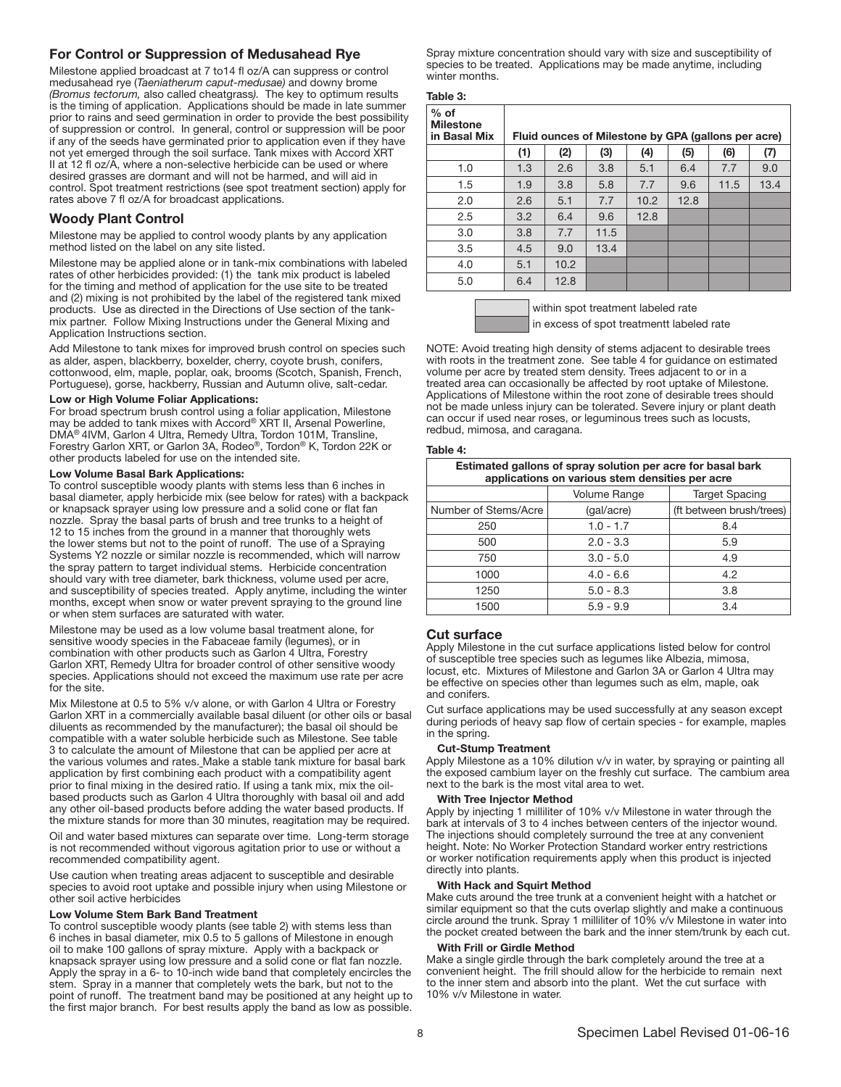# For Control or Suppression of Medusahead Rye

Milestone applied broadcast at 7 to14 fl oz/A can suppress or control medusahead rye (*Taeniatherum caput-medusae)* and downy brome *(Bromus tectorum,* also called cheatgrass*).* The key to optimum results is the timing of application. Applications should be made in late summer prior to rains and seed germination in order to provide the best possibility of suppression or control. In general, control or suppression will be poor if any of the seeds have germinated prior to application even if they have not yet emerged through the soil surface. Tank mixes with Accord XRT II at 12 fl oz/A, where a non-selective herbicide can be used or where desired grasses are dormant and will not be harmed, and will aid in control. Spot treatment restrictions (see spot treatment section) apply for rates above 7 fl oz/A for broadcast applications.

# Woody Plant Control

Milestone may be applied to control woody plants by any application method listed on the label on any site listed.

Milestone may be applied alone or in tank-mix combinations with labeled rates of other herbicides provided: (1) the tank mix product is labeled for the timing and method of application for the use site to be treated and (2) mixing is not prohibited by the label of the registered tank mixed products. Use as directed in the Directions of Use section of the tankmix partner. Follow Mixing Instructions under the General Mixing and Application Instructions section.

Add Milestone to tank mixes for improved brush control on species such as alder, aspen, blackberry, boxelder, cherry, coyote brush, conifers, cottonwood, elm, maple, poplar, oak, brooms (Scotch, Spanish, French, Portuguese), gorse, hackberry, Russian and Autumn olive, salt-cedar.

#### Low or High Volume Foliar Applications:

For broad spectrum brush control using a foliar application, Milestone may be added to tank mixes with Accord® XRT II, Arsenal Powerline, DMA® 4IVM, Garlon 4 Ultra, Remedy Ultra, Tordon 101M, Transline, Forestry Garlon XRT, or Garlon 3A, Rodeo®, Tordon® K, Tordon 22K or other products labeled for use on the intended site.

#### Low Volume Basal Bark Applications:

To control susceptible woody plants with stems less than 6 inches in basal diameter, apply herbicide mix (see below for rates) with a backpack or knapsack sprayer using low pressure and a solid cone or flat fan nozzle. Spray the basal parts of brush and tree trunks to a height of 12 to 15 inches from the ground in a manner that thoroughly wets the lower stems but not to the point of runoff. The use of a Spraying Systems Y2 nozzle or similar nozzle is recommended, which will narrow the spray pattern to target individual stems. Herbicide concentration should vary with tree diameter, bark thickness, volume used per acre, and susceptibility of species treated. Apply anytime, including the winter months, except when snow or water prevent spraying to the ground line or when stem surfaces are saturated with water.

Milestone may be used as a low volume basal treatment alone, for sensitive woody species in the Fabaceae family (legumes), or in combination with other products such as Garlon 4 Ultra, Forestry Garlon XRT, Remedy Ultra for broader control of other sensitive woody species. Applications should not exceed the maximum use rate per acre for the site.

Mix Milestone at 0.5 to 5% v/v alone, or with Garlon 4 Ultra or Forestry Garlon XRT in a commercially available basal diluent (or other oils or basal diluents as recommended by the manufacturer); the basal oil should be compatible with a water soluble herbicide such as Milestone. See table 3 to calculate the amount of Milestone that can be applied per acre at the various volumes and rates. Make a stable tank mixture for basal bark application by first combining each product with a compatibility agent prior to final mixing in the desired ratio. If using a tank mix, mix the oilbased products such as Garlon 4 Ultra thoroughly with basal oil and add any other oil-based products before adding the water based products. If the mixture stands for more than 30 minutes, reagitation may be required.

Oil and water based mixtures can separate over time. Long-term storage is not recommended without vigorous agitation prior to use or without a recommended compatibility agent.

Use caution when treating areas adjacent to susceptible and desirable species to avoid root uptake and possible injury when using Milestone or other soil active herbicides

#### Low Volume Stem Bark Band Treatment

To control susceptible woody plants (see table 2) with stems less than 6 inches in basal diameter, mix 0.5 to 5 gallons of Milestone in enough oil to make 100 gallons of spray mixture. Apply with a backpack or knapsack sprayer using low pressure and a solid cone or flat fan nozzle. Apply the spray in a 6- to 10-inch wide band that completely encircles the stem. Spray in a manner that completely wets the bark, but not to the point of runoff. The treatment band may be positioned at any height up to the first major branch. For best results apply the band as low as possible.

Spray mixture concentration should vary with size and susceptibility of species to be treated. Applications may be made anytime, including winter months.

|--|--|

| $%$ of<br><b>Milestone</b><br>in Basal Mix | Fluid ounces of Milestone by GPA (gallons per acre) |      |      |      |      |      |      |
|--------------------------------------------|-----------------------------------------------------|------|------|------|------|------|------|
|                                            | (1)                                                 | (2)  | (3)  | (4)  | (5)  | (6)  | (7)  |
| 1.0                                        | 1.3                                                 | 2.6  | 3.8  | 5.1  | 6.4  | 7.7  | 9.0  |
| 1.5                                        | 1.9                                                 | 3.8  | 5.8  | 7.7  | 9.6  | 11.5 | 13.4 |
| 2.0                                        | 2.6                                                 | 5.1  | 7.7  | 10.2 | 12.8 |      |      |
| 2.5                                        | 3.2                                                 | 6.4  | 9.6  | 12.8 |      |      |      |
| 3.0                                        | 3.8                                                 | 7.7  | 11.5 |      |      |      |      |
| 3.5                                        | 4.5                                                 | 9.0  | 13.4 |      |      |      |      |
| 4.0                                        | 5.1                                                 | 10.2 |      |      |      |      |      |
| 5.0                                        | 6.4                                                 | 12.8 |      |      |      |      |      |



NOTE: Avoid treating high density of stems adjacent to desirable trees with roots in the treatment zone. See table 4 for guidance on estimated volume per acre by treated stem density. Trees adjacent to or in a treated area can occasionally be affected by root uptake of Milestone. Applications of Milestone within the root zone of desirable trees should not be made unless injury can be tolerated. Severe injury or plant death can occur if used near roses, or leguminous trees such as locusts, redbud, mimosa, and caragana.

#### Table 4:

| Estimated gallons of spray solution per acre for basal bark<br>applications on various stem densities per acre |                          |  |  |  |  |
|----------------------------------------------------------------------------------------------------------------|--------------------------|--|--|--|--|
| <b>Target Spacing</b><br><b>Volume Range</b>                                                                   |                          |  |  |  |  |
| (gal/acre)                                                                                                     | (ft between brush/trees) |  |  |  |  |
| $1.0 - 1.7$                                                                                                    | 8.4                      |  |  |  |  |
| $2.0 - 3.3$                                                                                                    | 5.9                      |  |  |  |  |
| $3.0 - 5.0$                                                                                                    | 4.9                      |  |  |  |  |
| $4.0 - 6.6$                                                                                                    | 4.2                      |  |  |  |  |
| $5.0 - 8.3$                                                                                                    | 3.8                      |  |  |  |  |
| $5.9 - 9.9$                                                                                                    | 3.4                      |  |  |  |  |
|                                                                                                                |                          |  |  |  |  |

#### Cut surface

Ī

Apply Milestone in the cut surface applications listed below for control of susceptible tree species such as legumes like Albezia, mimosa, locust, etc. Mixtures of Milestone and Garlon 3A or Garlon 4 Ultra may be effective on species other than legumes such as elm, maple, oak and conifers.

Cut surface applications may be used successfully at any season except during periods of heavy sap flow of certain species - for example, maples in the spring.

#### Cut-Stump Treatment

Apply Milestone as a 10% dilution v/v in water, by spraying or painting all the exposed cambium layer on the freshly cut surface. The cambium area next to the bark is the most vital area to wet.

#### With Tree Injector Method

Apply by injecting 1 milliliter of 10% v/v Milestone in water through the bark at intervals of 3 to 4 inches between centers of the injector wound. The injections should completely surround the tree at any convenient height. Note: No Worker Protection Standard worker entry restrictions or worker notification requirements apply when this product is injected directly into plants.

#### With Hack and Squirt Method

Make cuts around the tree trunk at a convenient height with a hatchet or similar equipment so that the cuts overlap slightly and make a continuous circle around the trunk. Spray 1 milliliter of 10% v/v Milestone in water into the pocket created between the bark and the inner stem/trunk by each cut.

#### With Frill or Girdle Method

Make a single girdle through the bark completely around the tree at a convenient height. The frill should allow for the herbicide to remain next to the inner stem and absorb into the plant. Wet the cut surface with 10% v/v Milestone in water.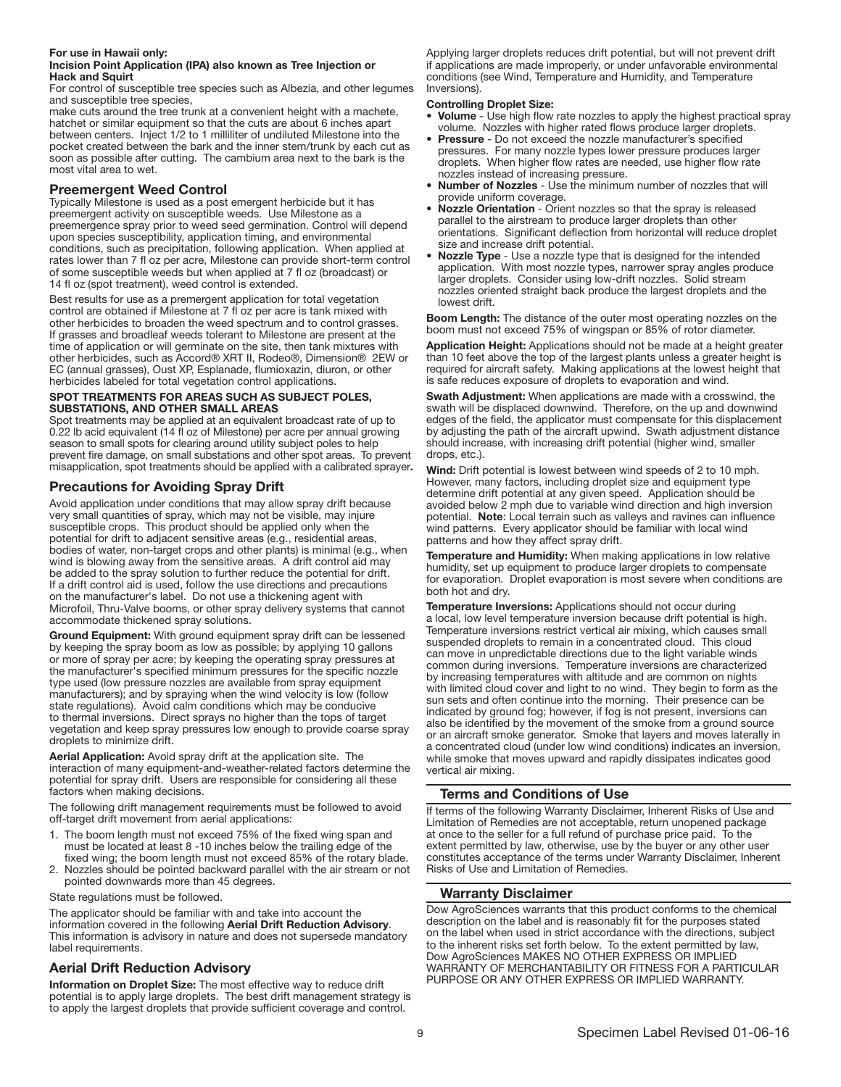#### For use in Hawaii only: Incision Point Application (IPA) also known as Tree Injection or Hack and Squirt

For control of susceptible tree species such as Albezia, and other legumes and susceptible tree species,

make cuts around the tree trunk at a convenient height with a machete, hatchet or similar equipment so that the cuts are about 6 inches apart between centers. Inject 1/2 to 1 milliliter of undiluted Milestone into the pocket created between the bark and the inner stem/trunk by each cut as soon as possible after cutting. The cambium area next to the bark is the most vital area to wet.

# Preemergent Weed Control

Typically Milestone is used as a post emergent herbicide but it has preemergent activity on susceptible weeds. Use Milestone as a preemergence spray prior to weed seed germination. Control will depend upon species susceptibility, application timing, and environmental conditions, such as precipitation, following application. When applied at rates lower than 7 fl oz per acre, Milestone can provide short-term control of some susceptible weeds but when applied at 7 fl oz (broadcast) or 14 fl oz (spot treatment), weed control is extended.

Best results for use as a premergent application for total vegetation control are obtained if Milestone at 7 fl oz per acre is tank mixed with other herbicides to broaden the weed spectrum and to control grasses. If grasses and broadleaf weeds tolerant to Milestone are present at the time of application or will germinate on the site, then tank mixtures with other herbicides, such as Accord® XRT II, Rodeo®, Dimension® 2EW or EC (annual grasses), Oust XP, Esplanade, flumioxazin, diuron, or other herbicides labeled for total vegetation control applications.

#### SPOT TREATMENTS FOR AREAS SUCH AS SUBJECT POLES, SUBSTATIONS, AND OTHER SMALL AREAS

Spot treatments may be applied at an equivalent broadcast rate of up to 0.22 lb acid equivalent (14 fl oz of Milestone) per acre per annual growing season to small spots for clearing around utility subject poles to help prevent fire damage, on small substations and other spot areas. To prevent misapplication, spot treatments should be applied with a calibrated sprayer.

# Precautions for Avoiding Spray Drift

Avoid application under conditions that may allow spray drift because very small quantities of spray, which may not be visible, may injure susceptible crops. This product should be applied only when the potential for drift to adjacent sensitive areas (e.g., residential areas, bodies of water, non-target crops and other plants) is minimal (e.g., when wind is blowing away from the sensitive areas. A drift control aid may be added to the spray solution to further reduce the potential for drift. If a drift control aid is used, follow the use directions and precautions on the manufacturer's label. Do not use a thickening agent with Microfoil, Thru-Valve booms, or other spray delivery systems that cannot accommodate thickened spray solutions.

Ground Equipment: With ground equipment spray drift can be lessened by keeping the spray boom as low as possible; by applying 10 gallons or more of spray per acre; by keeping the operating spray pressures at the manufacturer's specified minimum pressures for the specific nozzle type used (low pressure nozzles are available from spray equipment manufacturers); and by spraying when the wind velocity is low (follow state regulations). Avoid calm conditions which may be conducive to thermal inversions. Direct sprays no higher than the tops of target vegetation and keep spray pressures low enough to provide coarse spray droplets to minimize drift.

Aerial Application: Avoid spray drift at the application site. The interaction of many equipment-and-weather-related factors determine the potential for spray drift. Users are responsible for considering all these factors when making decisions.

The following drift management requirements must be followed to avoid off-target drift movement from aerial applications:

- 1. The boom length must not exceed 75% of the fixed wing span and must be located at least 8 -10 inches below the trailing edge of the fixed wing; the boom length must not exceed 85% of the rotary blade.
- 2. Nozzles should be pointed backward parallel with the air stream or not pointed downwards more than 45 degrees.

State regulations must be followed.

The applicator should be familiar with and take into account the information covered in the following Aerial Drift Reduction Advisory. This information is advisory in nature and does not supersede mandatory label requirements.

# Aerial Drift Reduction Advisory

Information on Droplet Size: The most effective way to reduce drift potential is to apply large droplets. The best drift management strategy is to apply the largest droplets that provide sufficient coverage and control.

Applying larger droplets reduces drift potential, but will not prevent drift if applications are made improperly, or under unfavorable environmental conditions (see Wind, Temperature and Humidity, and Temperature Inversions).

### Controlling Droplet Size:

- Volume Use high flow rate nozzles to apply the highest practical spray volume. Nozzles with higher rated flows produce larger droplets.
- Pressure Do not exceed the nozzle manufacturer's specified pressures. For many nozzle types lower pressure produces larger droplets. When higher flow rates are needed, use higher flow rate nozzles instead of increasing pressure.
- Number of Nozzles Use the minimum number of nozzles that will provide uniform coverage.
- Nozzle Orientation Orient nozzles so that the spray is released parallel to the airstream to produce larger droplets than other orientations. Significant deflection from horizontal will reduce droplet size and increase drift potential.
- Nozzle Type Use a nozzle type that is designed for the intended application. With most nozzle types, narrower spray angles produce larger droplets. Consider using low-drift nozzles. Solid stream nozzles oriented straight back produce the largest droplets and the lowest drift.

Boom Length: The distance of the outer most operating nozzles on the boom must not exceed 75% of wingspan or 85% of rotor diameter.

Application Height: Applications should not be made at a height greater than 10 feet above the top of the largest plants unless a greater height is required for aircraft safety. Making applications at the lowest height that is safe reduces exposure of droplets to evaporation and wind.

Swath Adjustment: When applications are made with a crosswind, the swath will be displaced downwind. Therefore, on the up and downwind edges of the field, the applicator must compensate for this displacement by adjusting the path of the aircraft upwind. Swath adjustment distance should increase, with increasing drift potential (higher wind, smaller drops, etc.).

Wind: Drift potential is lowest between wind speeds of 2 to 10 mph. However, many factors, including droplet size and equipment type determine drift potential at any given speed. Application should be avoided below 2 mph due to variable wind direction and high inversion potential. Note: Local terrain such as valleys and ravines can influence wind patterns. Every applicator should be familiar with local wind patterns and how they affect spray drift.

Temperature and Humidity: When making applications in low relative humidity, set up equipment to produce larger droplets to compensate for evaporation. Droplet evaporation is most severe when conditions are both hot and dry.

Temperature Inversions: Applications should not occur during a local, low level temperature inversion because drift potential is high. Temperature inversions restrict vertical air mixing, which causes small suspended droplets to remain in a concentrated cloud. This cloud can move in unpredictable directions due to the light variable winds common during inversions. Temperature inversions are characterized by increasing temperatures with altitude and are common on nights with limited cloud cover and light to no wind. They begin to form as the sun sets and often continue into the morning. Their presence can be indicated by ground fog; however, if fog is not present, inversions can also be identified by the movement of the smoke from a ground source or an aircraft smoke generator. Smoke that layers and moves laterally in a concentrated cloud (under low wind conditions) indicates an inversion, while smoke that moves upward and rapidly dissipates indicates good vertical air mixing.

# Terms and Conditions of Use

If terms of the following Warranty Disclaimer, Inherent Risks of Use and Limitation of Remedies are not acceptable, return unopened package at once to the seller for a full refund of purchase price paid. To the extent permitted by law, otherwise, use by the buyer or any other user constitutes acceptance of the terms under Warranty Disclaimer, Inherent Risks of Use and Limitation of Remedies.

# Warranty Disclaimer

Dow AgroSciences warrants that this product conforms to the chemical description on the label and is reasonably fit for the purposes stated on the label when used in strict accordance with the directions, subject to the inherent risks set forth below. To the extent permitted by law, Dow AgroSciences MAKES NO OTHER EXPRESS OR IMPLIED WARRANTY OF MERCHANTABILITY OR FITNESS FOR A PARTICULAR PURPOSE OR ANY OTHER EXPRESS OR IMPLIED WARRANTY.